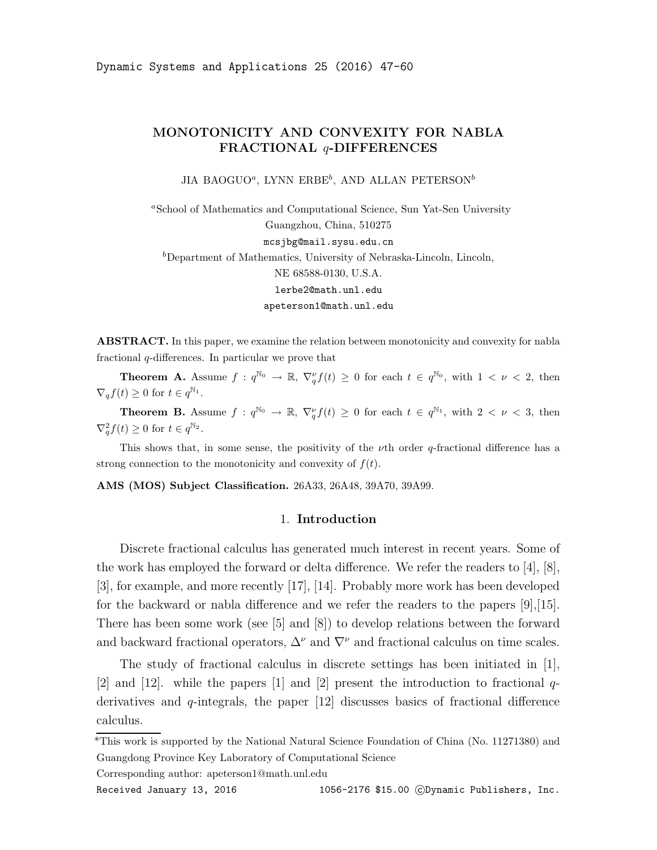# MONOTONICITY AND CONVEXITY FOR NABLA FRACTIONAL q-DIFFERENCES

JIA BAOGUO<sup>a</sup>, LYNN ERBE<sup>b</sup>, AND ALLAN PETERSON<sup>b</sup>

<sup>a</sup>School of Mathematics and Computational Science, Sun Yat-Sen University Guangzhou, China, 510275 mcsjbg@mail.sysu.edu.cn  $b$ Department of Mathematics, University of Nebraska-Lincoln, Lincoln, NE 68588-0130, U.S.A. lerbe2@math.unl.edu apeterson1@math.unl.edu

ABSTRACT. In this paper, we examine the relation between monotonicity and convexity for nabla fractional q-differences. In particular we prove that

**Theorem A.** Assume  $f: q^{\mathbb{N}_0} \to \mathbb{R}, \nabla_q^{\nu} f(t) \geq 0$  for each  $t \in q^{\mathbb{N}_0}$ , with  $1 < \nu < 2$ , then  $\nabla_q f(t) \geq 0$  for  $t \in q^{\mathbb{N}_1}$ .

**Theorem B.** Assume  $f: q^{\mathbb{N}_0} \to \mathbb{R}, \nabla_q^{\nu} f(t) \geq 0$  for each  $t \in q^{\mathbb{N}_1}$ , with  $2 < \nu < 3$ , then  $\nabla_q^2 f(t) \geq 0$  for  $t \in q^{\mathbb{N}_2}$ .

This shows that, in some sense, the positivity of the  $\nu$ th order q-fractional difference has a strong connection to the monotonicity and convexity of  $f(t)$ .

AMS (MOS) Subject Classification. 26A33, 26A48, 39A70, 39A99.

## 1. Introduction

Discrete fractional calculus has generated much interest in recent years. Some of the work has employed the forward or delta difference. We refer the readers to [4], [8], [3], for example, and more recently [17], [14]. Probably more work has been developed for the backward or nabla difference and we refer the readers to the papers [9],[15]. There has been some work (see [5] and [8]) to develop relations between the forward and backward fractional operators,  $\Delta^{\nu}$  and  $\nabla^{\nu}$  and fractional calculus on time scales.

The study of fractional calculus in discrete settings has been initiated in  $|1|$ , [2] and [12]. while the papers [1] and [2] present the introduction to fractional  $q$ derivatives and  $q$ -integrals, the paper [12] discusses basics of fractional difference calculus.

Corresponding author: apeterson1@math.unl.edu

<sup>\*</sup>This work is supported by the National Natural Science Foundation of China (No. 11271380) and Guangdong Province Key Laboratory of Computational Science

Received January 13, 2016 1056-2176 \$15.00 CDynamic Publishers, Inc.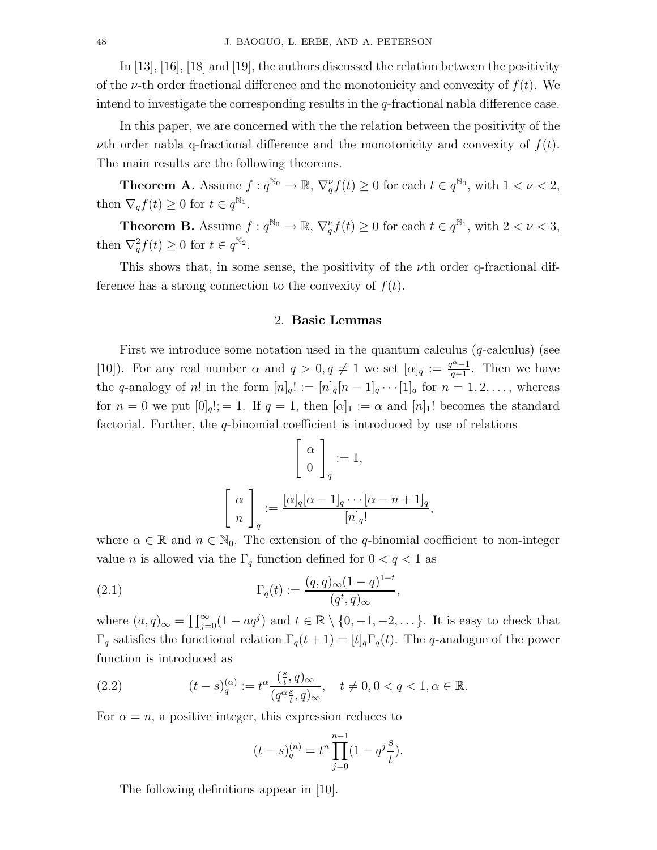In [13], [16], [18] and [19], the authors discussed the relation between the positivity of the v-th order fractional difference and the monotonicity and convexity of  $f(t)$ . We intend to investigate the corresponding results in the  $q$ -fractional nabla difference case.

In this paper, we are concerned with the the relation between the positivity of the *u*th order nabla q-fractional difference and the monotonicity and convexity of  $f(t)$ . The main results are the following theorems.

**Theorem A.** Assume  $f: q^{\mathbb{N}_0} \to \mathbb{R}, \nabla_q^{\nu} f(t) \geq 0$  for each  $t \in q^{\mathbb{N}_0}$ , with  $1 < \nu < 2$ , then  $\nabla_q f(t) \geq 0$  for  $t \in q^{\mathbb{N}_1}$ .

**Theorem B.** Assume  $f: q^{\mathbb{N}_0} \to \mathbb{R}, \nabla_q^{\nu} f(t) \geq 0$  for each  $t \in q^{\mathbb{N}_1}$ , with  $2 < \nu < 3$ , then  $\nabla_q^2 f(t) \geq 0$  for  $t \in q^{\mathbb{N}_2}$ .

This shows that, in some sense, the positivity of the  $\nu$ th order q-fractional difference has a strong connection to the convexity of  $f(t)$ .

#### 2. Basic Lemmas

First we introduce some notation used in the quantum calculus  $(q$ -calculus) (see [10]). For any real number  $\alpha$  and  $q > 0, q \neq 1$  we set  $[\alpha]_q := \frac{q^{\alpha}-1}{q-1}$  $\frac{q^{\alpha}-1}{q-1}$ . Then we have the q-analogy of n! in the form  $[n]_q! := [n]_q[n-1]_q \cdots [1]_q$  for  $n = 1, 2, \ldots$ , whereas for  $n = 0$  we put  $[0]_q! := 1$ . If  $q = 1$ , then  $[\alpha]_1 := \alpha$  and  $[n]_1!$  becomes the standard factorial. Further, the q-binomial coefficient is introduced by use of relations

$$
\begin{bmatrix} \alpha \\ 0 \end{bmatrix}_q := 1,
$$

$$
\begin{bmatrix} \alpha \\ n \end{bmatrix}_q := \frac{[\alpha]_q [\alpha - 1]_q \cdots [\alpha - n + 1]_q}{[n]_q!},
$$

where  $\alpha \in \mathbb{R}$  and  $n \in \mathbb{N}_0$ . The extension of the q-binomial coefficient to non-integer value n is allowed via the  $\Gamma_q$  function defined for  $0 < q < 1$  as

(2.1) 
$$
\Gamma_q(t) := \frac{(q, q)_{\infty} (1 - q)^{1 - t}}{(q^t, q)_{\infty}},
$$

where  $(a, q)_{\infty} = \prod_{j=0}^{\infty} (1 - aq^j)$  and  $t \in \mathbb{R} \setminus \{0, -1, -2, \dots\}$ . It is easy to check that  $\Gamma_q$  satisfies the functional relation  $\Gamma_q(t+1) = [t]_q \Gamma_q(t)$ . The q-analogue of the power function is introduced as

(2.2) 
$$
(t-s)_q^{(\alpha)} := t^{\alpha} \frac{\left(\frac{s}{t}, q\right)_{\infty}}{\left(q^{\alpha} \frac{s}{t}, q\right)_{\infty}}, \quad t \neq 0, 0 < q < 1, \alpha \in \mathbb{R}.
$$

For  $\alpha = n$ , a positive integer, this expression reduces to

$$
(t-s)_{q}^{(n)} = t^{n} \prod_{j=0}^{n-1} (1 - q^{j} \frac{s}{t}).
$$

The following definitions appear in [10].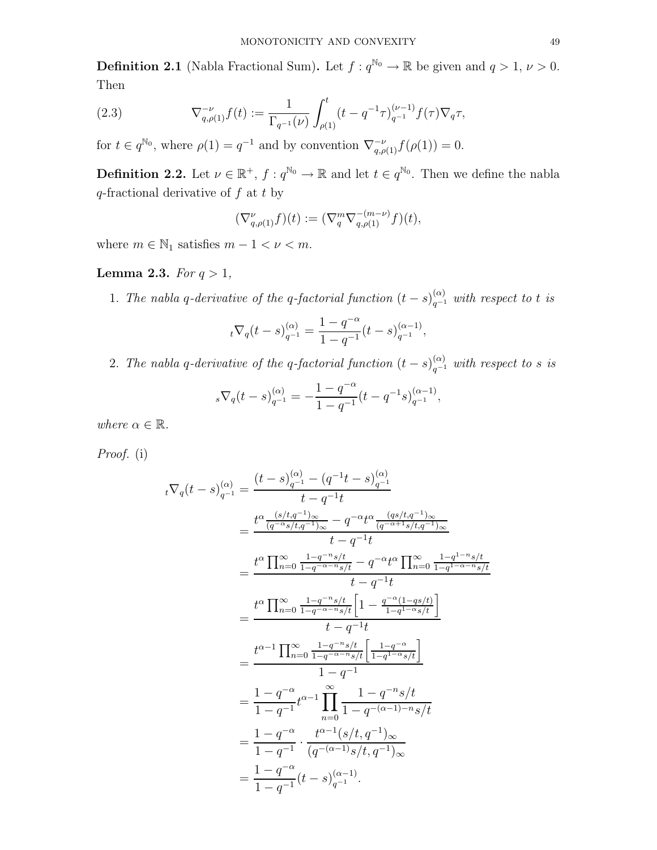**Definition 2.1** (Nabla Fractional Sum). Let  $f: q^{\mathbb{N}_0} \to \mathbb{R}$  be given and  $q > 1, \nu > 0$ . Then

(2.3) 
$$
\nabla_{q,\rho(1)}^{-\nu} f(t) := \frac{1}{\Gamma_{q^{-1}}(\nu)} \int_{\rho(1)}^t (t - q^{-1} \tau)_{q^{-1}}^{(\nu - 1)} f(\tau) \nabla_q \tau,
$$

for  $t \in q^{\mathbb{N}_0}$ , where  $\rho(1) = q^{-1}$  and by convention  $\nabla_{q,\rho(1)}^{-\nu} f(\rho(1)) = 0$ .

**Definition 2.2.** Let  $\nu \in \mathbb{R}^+$ ,  $f: q^{\mathbb{N}_0} \to \mathbb{R}$  and let  $t \in q^{\mathbb{N}_0}$ . Then we define the nabla  $q$ -fractional derivative of  $f$  at  $t$  by

$$
(\nabla_{q,\rho(1)}^{\nu}f)(t) := (\nabla_q^m \nabla_{q,\rho(1)}^{-(m-\nu)} f)(t),
$$

where  $m \in \mathbb{N}_1$  satisfies  $m - 1 < \nu < m$ .

### Lemma 2.3. For  $q > 1$ ,

1. The nabla q-derivative of the q-factorial function  $(t-s)_{q^{-1}}^{(\alpha)}$  with respect to t is

$$
{}_{t}\nabla_q(t-s)_{q^{-1}}^{(\alpha)} = \frac{1-q^{-\alpha}}{1-q^{-1}}(t-s)_{q^{-1}}^{(\alpha-1)},
$$

2. The nabla q-derivative of the q-factorial function  $(t-s)_{q^{-1}}^{(\alpha)}$  with respect to s is

$$
{}_{s}\nabla_q(t-s)_{q^{-1}}^{(\alpha)} = -\frac{1-q^{-\alpha}}{1-q^{-1}}(t-q^{-1}s)_{q^{-1}}^{(\alpha-1)},
$$

where  $\alpha \in \mathbb{R}$ .

Proof. (i)

$$
t\nabla_q(t-s)_{q^{-1}}^{(\alpha)} = \frac{(t-s)_{q^{-1}}^{(\alpha)} - (q^{-1}t-s)_{q^{-1}}^{(\alpha)}}{t-q^{-1}t}
$$
  
\n
$$
= \frac{t^{\alpha} \frac{(s/t,q^{-1})_{\infty}}{(q^{-\alpha}s/t,q^{-1})_{\infty}} - q^{-\alpha}t^{\alpha} \frac{(qs/t,q^{-1})_{\infty}}{(q^{-\alpha+1}s/t,q^{-1})_{\infty}}}{t-q^{-1}t}
$$
  
\n
$$
= \frac{t^{\alpha} \prod_{n=0}^{\infty} \frac{1-q^{-n}s/t}{1-q^{-\alpha-n}s/t} - q^{-\alpha}t^{\alpha} \prod_{n=0}^{\infty} \frac{1-q^{1-n}s/t}{1-q^{1-\alpha-n}s/t}}{t-q^{-1}t}
$$
  
\n
$$
= \frac{t^{\alpha} \prod_{n=0}^{\infty} \frac{1-q^{-n}s/t}{1-q^{-\alpha-n}s/t} \left[1 - \frac{q^{-\alpha}(1-qs/t)}{1-q^{1-\alpha}s/t}\right]}{t-q^{-1}t}
$$
  
\n
$$
= \frac{t^{\alpha-1} \prod_{n=0}^{\infty} \frac{1-q^{-n}s/t}{1-q^{-\alpha-n}s/t} \left[\frac{1-q^{-\alpha}}{1-q^{1-\alpha}s/t}\right]}{1-q^{-1}}
$$
  
\n
$$
= \frac{1-q^{-\alpha}}{1-q^{-1}} t^{\alpha-1} \prod_{n=0}^{\infty} \frac{1-q^{-n}s/t}{1-q^{-(\alpha-1)-n}s/t}
$$
  
\n
$$
= \frac{1-q^{-\alpha}}{1-q^{-1}} \cdot \frac{t^{\alpha-1}(s/t,q^{-1})_{\infty}}{(q^{-(\alpha-1)}s/t,q^{-1})_{\infty}}
$$
  
\n
$$
= \frac{1-q^{-\alpha}}{1-q^{-1}}(t-s)_{q^{-1}}^{(\alpha-1)}.
$$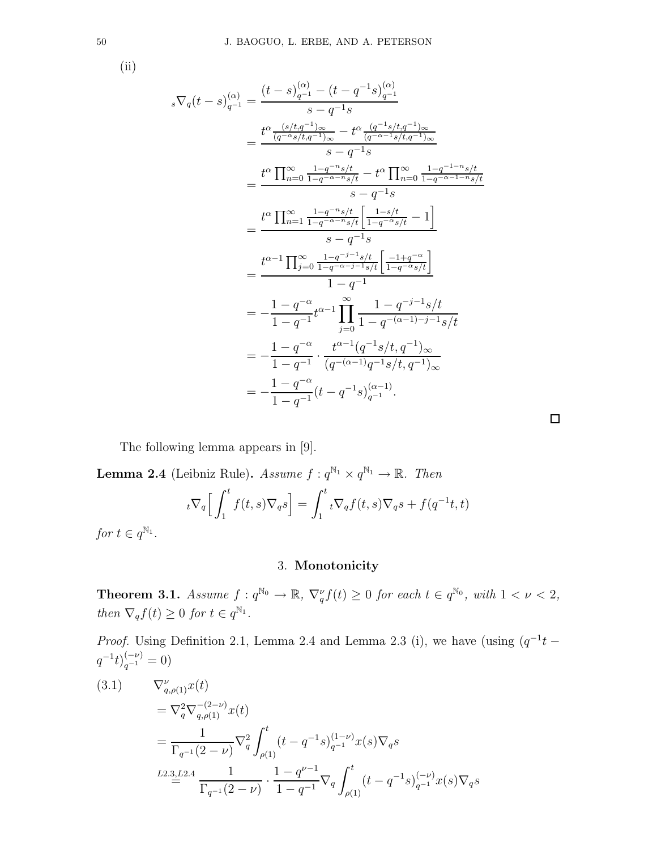(ii)

$$
{}_{s}\nabla_{q}(t-s)_{q^{-1}}^{(\alpha)} = \frac{(t-s)_{q^{-1}}^{(\alpha)} - (t-q^{-1}s)_{q^{-1}}^{(\alpha)}}{s-q^{-1}s}
$$
  
\n
$$
= \frac{t^{\alpha} \frac{(s/t,q^{-1})_{\infty}}{(q^{-\alpha}s/t,q^{-1})_{\infty}} - t^{\alpha} \frac{(q^{-1}s/t,q^{-1})_{\infty}}{(q^{-\alpha-1}s/t,q^{-1})_{\infty}}}{s-q^{-1}s}
$$
  
\n
$$
= \frac{t^{\alpha} \prod_{n=0}^{\infty} \frac{1-q^{-n}s/t}{1-q^{-\alpha-n}s/t} - t^{\alpha} \prod_{n=0}^{\infty} \frac{1-q^{-1-n}s/t}{1-q^{-\alpha-1-n}s/t}}{s-q^{-1}s}
$$
  
\n
$$
= \frac{t^{\alpha} \prod_{n=1}^{\infty} \frac{1-q^{-n}s/t}{1-q^{-\alpha-n}s/t} \left[ \frac{1-s/t}{1-q^{-\alpha}s/t} - 1 \right]}{s-q^{-1}}
$$
  
\n
$$
= \frac{t^{\alpha-1} \prod_{j=0}^{\infty} \frac{1-q^{-j-1}s/t}{1-q^{-\alpha-j-1}s/t} \left[ \frac{-1+q^{-\alpha}}{1-q^{-\alpha}s/t} \right]}{1-q^{-1}}
$$
  
\n
$$
= -\frac{1-q^{-\alpha}}{1-q^{-1}} t^{\alpha-1} \prod_{j=0}^{\infty} \frac{1-q^{-j-1}s/t}{1-q^{-(\alpha-1)-j-1}s/t}
$$
  
\n
$$
= -\frac{1-q^{-\alpha}}{1-q^{-1}} \cdot \frac{t^{\alpha-1}(q^{-1}s/t,q^{-1})_{\infty}}{(q^{-(\alpha-1)}q^{-1}s/t,q^{-1})_{\infty}}
$$
  
\n
$$
= -\frac{1-q^{-\alpha}}{1-q^{-1}} (t-q^{-1}s)^{(\alpha-1)}_{q^{-1}}.
$$

 $\Box$ 

The following lemma appears in [9].

**Lemma 2.4** (Leibniz Rule). Assume  $f: q^{\mathbb{N}_1} \times q^{\mathbb{N}_1} \to \mathbb{R}$ . Then  $\frac{1}{t^{\nabla_q}} \Big[ \int^t$ 1  $f(t,s)\nabla_q s\Big] = \int^t$ 1  $\tau_t \nabla_q f(t,s) \nabla_q s + f(q^{-1}t,t)$ 

for  $t \in q^{\mathbb{N}_1}$ .

# 3. Monotonicity

**Theorem 3.1.** Assume  $f: q^{\mathbb{N}_0} \to \mathbb{R}$ ,  $\nabla_q^{\nu} f(t) \geq 0$  for each  $t \in q^{\mathbb{N}_0}$ , with  $1 < \nu < 2$ , then  $\nabla_q f(t) \geq 0$  for  $t \in q^{\mathbb{N}_1}$ .

*Proof.* Using Definition 2.1, Lemma 2.4 and Lemma 2.3 (i), we have (using  $(q^{-1}t - )$  $q^{-1}t)^{(-\nu)}_{q^{-1}}=0$ 

$$
(3.1) \nabla_{q,\rho(1)}^{\nu} x(t) \n= \nabla_q^2 \nabla_{q,\rho(1)}^{-(2-\nu)} x(t) \n= \frac{1}{\Gamma_{q^{-1}}(2-\nu)} \nabla_q^2 \int_{\rho(1)}^t (t - q^{-1}s)_{q^{-1}}^{(1-\nu)} x(s) \nabla_q s \nL2.3, L2.4 \n\frac{1}{\Gamma_{q^{-1}}(2-\nu)} \cdot \frac{1 - q^{\nu-1}}{1 - q^{-1}} \nabla_q \int_{\rho(1)}^t (t - q^{-1}s)_{q^{-1}}^{(-\nu)} x(s) \nabla_q s
$$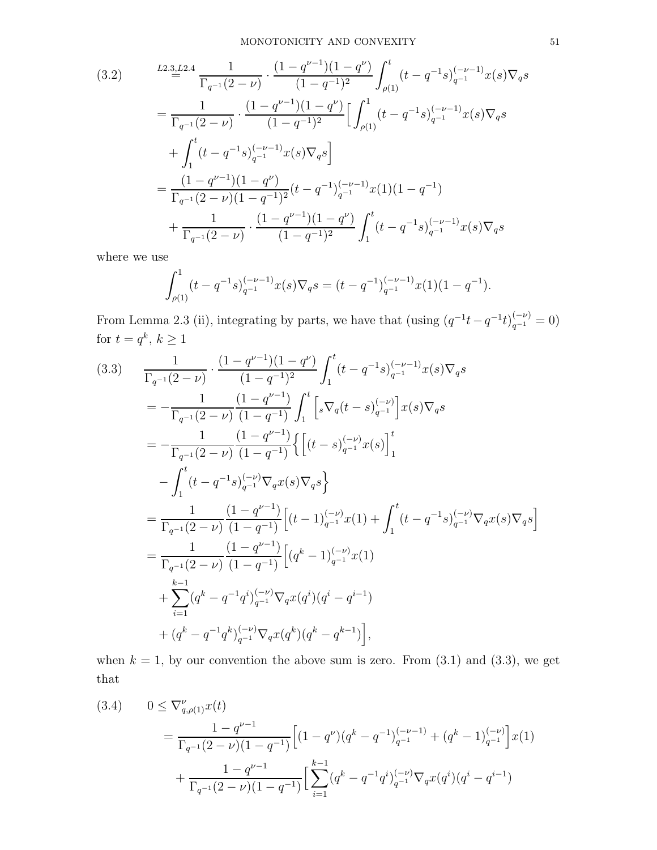$$
(3.2) \qquad \frac{L^{2.3}L^{2.4}}{\Gamma_{q^{-1}}(2-\nu)} \cdot \frac{(1-q^{\nu-1})(1-q^{\nu})}{(1-q^{-1})^2} \int_{\rho(1)}^{t} (t-q^{-1}s)_{q^{-1}}^{(-\nu-1)} x(s) \nabla_{q}s
$$
\n
$$
= \frac{1}{\Gamma_{q^{-1}}(2-\nu)} \cdot \frac{(1-q^{\nu-1})(1-q^{\nu})}{(1-q^{-1})^2} \Big[ \int_{\rho(1)}^{1} (t-q^{-1}s)_{q^{-1}}^{(-\nu-1)} x(s) \nabla_{q}s
$$
\n
$$
+ \int_{1}^{t} (t-q^{-1}s)_{q^{-1}}^{(-\nu-1)} x(s) \nabla_{q}s \Big]
$$
\n
$$
= \frac{(1-q^{\nu-1})(1-q^{\nu})}{\Gamma_{q^{-1}}(2-\nu)(1-q^{-1})^2} (t-q^{-1})_{q^{-1}}^{(-\nu-1)} x(1) (1-q^{-1})
$$
\n
$$
+ \frac{1}{\Gamma_{q^{-1}}(2-\nu)} \cdot \frac{(1-q^{\nu-1})(1-q^{\nu})}{(1-q^{-1})^2} \int_{1}^{t} (t-q^{-1}s)_{q^{-1}}^{(-\nu-1)} x(s) \nabla_{q}s
$$

where we use

$$
\int_{\rho(1)}^1 (t - q^{-1}s)_{q^{-1}}^{(-\nu - 1)} x(s) \nabla_q s = (t - q^{-1})_{q^{-1}}^{(-\nu - 1)} x(1) (1 - q^{-1}).
$$

From Lemma 2.3 (ii), integrating by parts, we have that (using  $(q^{-1}t - q^{-1}t)_{q^{-1}}^{(-\nu)} = 0$ ) for  $t = q^k, k \geq 1$ 

$$
(3.3) \frac{1}{\Gamma_{q^{-1}}(2-\nu)} \cdot \frac{(1-q^{\nu-1})(1-q^{\nu})}{(1-q^{-1})^2} \int_1^t (t-q^{-1}s)_{q^{-1}}^{(-\nu-1)} x(s) \nabla_q s
$$
  
\n
$$
= -\frac{1}{\Gamma_{q^{-1}}(2-\nu)} \frac{(1-q^{\nu-1})}{(1-q^{-1})} \int_1^t \left[ s \nabla_q(t-s)_{q^{-1}}^{(-\nu)} \right] x(s) \nabla_q s
$$
  
\n
$$
= -\frac{1}{\Gamma_{q^{-1}}(2-\nu)} \frac{(1-q^{\nu-1})}{(1-q^{-1})} \left\{ \left[ (t-s)_{q^{-1}}^{(-\nu)} x(s) \right]_1^t
$$
  
\n
$$
- \int_1^t (t-q^{-1}s)_{q^{-1}}^{(-\nu)} \nabla_q x(s) \nabla_q s \right\}
$$
  
\n
$$
= \frac{1}{\Gamma_{q^{-1}}(2-\nu)} \frac{(1-q^{\nu-1})}{(1-q^{-1})} \left[ (t-1)_{q^{-1}}^{(-\nu)} x(1) + \int_1^t (t-q^{-1}s)_{q^{-1}}^{(-\nu)} \nabla_q x(s) \nabla_q s \right]
$$
  
\n
$$
= \frac{1}{\Gamma_{q^{-1}}(2-\nu)} \frac{(1-q^{\nu-1})}{(1-q^{-1})} \left[ (q^k-1)_{q^{-1}}^{(-\nu)} x(1) + \sum_{i=1}^{k-1} (q^k-q^{-1}q^i)_{q^{-1}}^{(-\nu)} \nabla_q x(q^i) (q^i-q^{i-1}) \right]
$$
  
\n
$$
+ (q^k-q^{-1}q^k)_{q^{-1}}^{(-\nu)} \nabla_q x(q^k) (q^k-q^{k-1}) \Big],
$$

when  $k = 1$ , by our convention the above sum is zero. From  $(3.1)$  and  $(3.3)$ , we get that

$$
(3.4) \qquad 0 \leq \nabla_{q,\rho(1)}^{\nu}x(t)
$$
  
= 
$$
\frac{1-q^{\nu-1}}{\Gamma_{q^{-1}}(2-\nu)(1-q^{-1})} \Big[ (1-q^{\nu})(q^{k}-q^{-1})_{q^{-1}}^{(-\nu-1)} + (q^{k}-1)_{q^{-1}}^{(-\nu)} \Big] x(1)
$$
  
+ 
$$
\frac{1-q^{\nu-1}}{\Gamma_{q^{-1}}(2-\nu)(1-q^{-1})} \Big[ \sum_{i=1}^{k-1} (q^{k}-q^{-1}q^{i})_{q^{-1}}^{(-\nu)} \nabla_{q} x(q^{i})(q^{i}-q^{i-1})
$$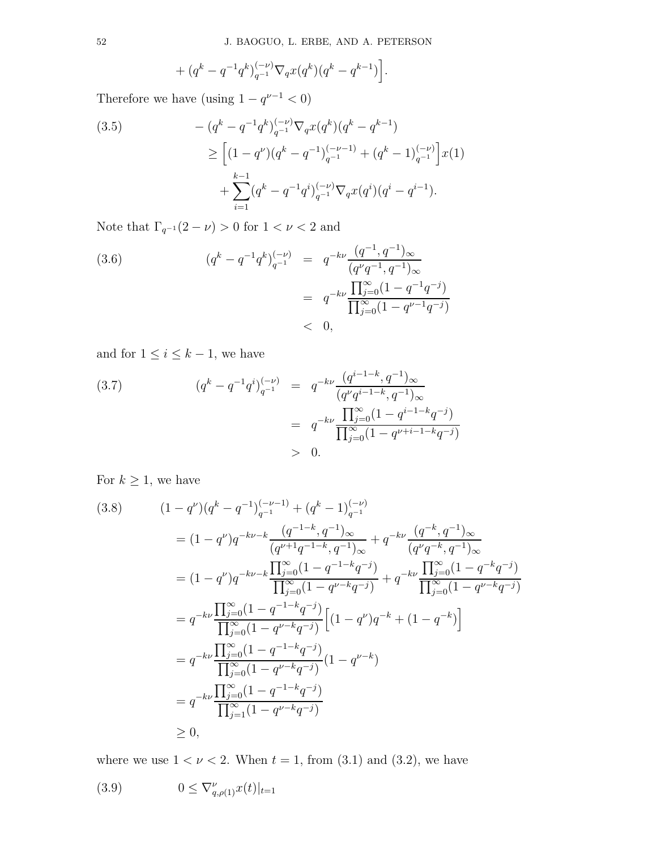$$
+\left.(q^{k}-q^{-1}q^{k})_{q^{-1}}^{(-\nu)}\nabla_{q}x(q^{k})(q^{k}-q^{k-1})\right].
$$

Therefore we have (using  $1 - q^{\nu - 1} < 0$ )

$$
(3.5) \qquad - (q^k - q^{-1}q^k)_{q^{-1}}^{(-\nu)} \nabla_q x(q^k) (q^k - q^{k-1})
$$
\n
$$
\geq \left[ (1 - q^{\nu})(q^k - q^{-1})_{q^{-1}}^{(-\nu-1)} + (q^k - 1)_{q^{-1}}^{(-\nu)} \right] x(1)
$$
\n
$$
+ \sum_{i=1}^{k-1} (q^k - q^{-1}q^i)_{q^{-1}}^{(-\nu)} \nabla_q x(q^i) (q^i - q^{i-1}).
$$

Note that  $\Gamma_{q^{-1}}(2-\nu)>0$  for  $1<\nu<2$  and

(3.6) 
$$
(q^{k} - q^{-1}q^{k})_{q^{-1}}^{(-\nu)} = q^{-k\nu} \frac{(q^{-1}, q^{-1})_{\infty}}{(q^{\nu}q^{-1}, q^{-1})_{\infty}}
$$

$$
= q^{-k\nu} \frac{\prod_{j=0}^{\infty} (1 - q^{-1}q^{-j})}{\prod_{j=0}^{\infty} (1 - q^{\nu-1}q^{-j})}
$$

$$
< 0,
$$

and for  $1 \leq i \leq k-1$ , we have

(3.7) 
$$
(q^{k} - q^{-1}q^{i})_{q^{-1}}^{(-\nu)} = q^{-k\nu} \frac{(q^{i-1-k}, q^{-1})_{\infty}}{(q^{\nu}q^{i-1-k}, q^{-1})_{\infty}}
$$

$$
= q^{-k\nu} \frac{\prod_{j=0}^{\infty} (1 - q^{i-1-k}q^{-j})}{\prod_{j=0}^{\infty} (1 - q^{\nu+i-1-k}q^{-j})}
$$

$$
> 0.
$$

For  $k \geq 1$ , we have

$$
(3.8) \qquad (1 - q^{\nu})(q^{k} - q^{-1})_{q^{-1}}^{(-\nu - 1)} + (q^{k} - 1)_{q^{-1}}^{(-\nu)}
$$
\n
$$
= (1 - q^{\nu})q^{-kv - k} \frac{(q^{-1-k}, q^{-1})_{\infty}}{(q^{\nu+1}q^{-1-k}, q^{-1})_{\infty}} + q^{-kv} \frac{(q^{-k}, q^{-1})_{\infty}}{(q^{\nu}q^{-k}, q^{-1})_{\infty}}
$$
\n
$$
= (1 - q^{\nu})q^{-kv - k} \frac{\prod_{j=0}^{\infty} (1 - q^{-1-k}q^{-j})}{\prod_{j=0}^{\infty} (1 - q^{\nu-k}q^{-j})} + q^{-kv} \frac{\prod_{j=0}^{\infty} (1 - q^{-k}q^{-j})}{\prod_{j=0}^{\infty} (1 - q^{\nu-k}q^{-j})}
$$
\n
$$
= q^{-kv} \frac{\prod_{j=0}^{\infty} (1 - q^{-1-k}q^{-j})}{\prod_{j=0}^{\infty} (1 - q^{\nu-k}q^{-j})} \left[ (1 - q^{\nu})q^{-k} + (1 - q^{-k}) \right]
$$
\n
$$
= q^{-kv} \frac{\prod_{j=0}^{\infty} (1 - q^{-1-k}q^{-j})}{\prod_{j=0}^{\infty} (1 - q^{\nu-k}q^{-j})} (1 - q^{\nu-k})
$$
\n
$$
= q^{-kv} \frac{\prod_{j=0}^{\infty} (1 - q^{-1-k}q^{-j})}{\prod_{j=1}^{\infty} (1 - q^{\nu-k}q^{-j})}
$$
\n
$$
\geq 0,
$$

where we use  $1 < \nu < 2$ . When  $t = 1$ , from (3.1) and (3.2), we have

(3.9) 
$$
0 \leq \nabla_{q,\rho(1)}^{\nu} x(t)|_{t=1}
$$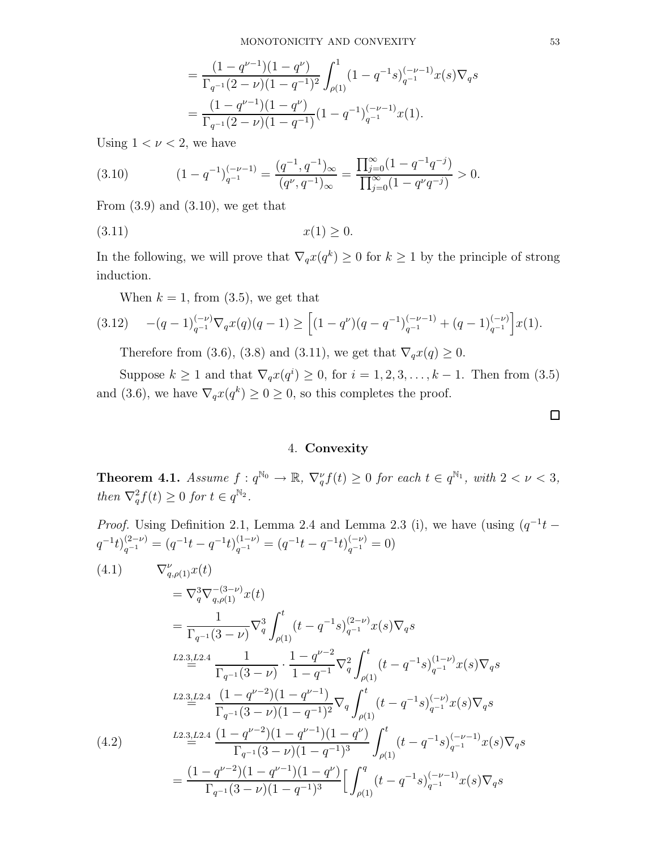$$
= \frac{(1-q^{\nu-1})(1-q^{\nu})}{\Gamma_{q^{-1}}(2-\nu)(1-q^{-1})^2} \int_{\rho(1)}^1 (1-q^{-1}s)_{q^{-1}}^{(-\nu-1)} x(s) \nabla_q s
$$
  
= 
$$
\frac{(1-q^{\nu-1})(1-q^{\nu})}{\Gamma_{q^{-1}}(2-\nu)(1-q^{-1})} (1-q^{-1})_{q^{-1}}^{(-\nu-1)} x(1).
$$

Using  $1 < \nu < 2$ , we have

(3.10) 
$$
(1 - q^{-1})_{q^{-1}}^{(-\nu - 1)} = \frac{(q^{-1}, q^{-1})_{\infty}}{(q^{\nu}, q^{-1})_{\infty}} = \frac{\prod_{j=0}^{\infty} (1 - q^{-1}q^{-j})}{\prod_{j=0}^{\infty} (1 - q^{\nu}q^{-j})} > 0.
$$

From  $(3.9)$  and  $(3.10)$ , we get that

$$
(3.11) \t\t x(1) \ge 0.
$$

In the following, we will prove that  $\nabla_q x(q^k) \geq 0$  for  $k \geq 1$  by the principle of strong induction.

When  $k = 1$ , from (3.5), we get that

$$
(3.12) \quad -(q-1)_{q^{-1}}^{(-\nu)} \nabla_q x(q)(q-1) \ge \left[ (1-q^{\nu})(q-q^{-1})_{q^{-1}}^{(-\nu-1)} + (q-1)_{q^{-1}}^{(-\nu)} \right] x(1).
$$

Therefore from (3.6), (3.8) and (3.11), we get that  $\nabla_q x(q) \geq 0$ .

Suppose  $k \ge 1$  and that  $\nabla_q x(q^i) \ge 0$ , for  $i = 1, 2, 3, \ldots, k - 1$ . Then from (3.5) and (3.6), we have  $\nabla_q x(q^k) \geq 0 \geq 0$ , so this completes the proof.

4. Convexity

**Theorem 4.1.** Assume  $f: q^{\mathbb{N}_0} \to \mathbb{R}$ ,  $\nabla_q^{\nu} f(t) \geq 0$  for each  $t \in q^{\mathbb{N}_1}$ , with  $2 < \nu < 3$ , then  $\nabla_q^2 f(t) \geq 0$  for  $t \in q^{\mathbb{N}_2}$ .

*Proof.* Using Definition 2.1, Lemma 2.4 and Lemma 2.3 (i), we have (using  $(q^{-1}t - )$  $q^{-1}t)^{(2-\nu)}_{q^{-1}} = (q^{-1}t - q^{-1}t)^{(1-\nu)}_{q^{-1}} = (q^{-1}t - q^{-1}t)^{(-\nu)}_{q^{-1}} = 0$ (4.1)  $\nabla_{q,\rho(1)}^{\nu}x(t)$  $=\nabla_{q}^{3}\nabla_{q,\rho(1)}^{-(3-\nu)}x(t)$ = 1  $\Gamma_{q^{-1}}(3-\nu)$  $\nabla_q^3$  $\int_0^t$  $\rho(1)$  $(t - q^{-1}s)_{q^{-1}}^{(2-\nu)}x(s)\nabla_q s$  $\stackrel{L2.3,L2.4}{=}$ 1  $\Gamma_{q^{-1}}(3-\nu)$ ·  $1 - q^{\nu - 2}$  $\frac{1-q}{1-q^{-1}} \nabla_q^2$  $\int_0^t$  $\rho(1)$  $(t - q^{-1}s)_{q^{-1}}^{(1-\nu)}x(s)\nabla_q s$  $\stackrel{L2.3,L2.4}{=}$  $(1 - q^{\nu-2})(1 - q^{\nu-1})$  $\frac{(1-q)/(1-q)}{\Gamma_{q^{-1}}(3-\nu)(1-q^{-1})^2}\nabla_q$  $\int_0^t$  $\rho(1)$  $(t - q^{-1}s)_{q^{-1}}^{(-\nu)}x(s)\nabla_q s$  $\stackrel{L2.3,L2.4}{=}$  $(1 - q^{\nu-2})(1 - q^{\nu-1})(1 - q^{\nu})$  $\Gamma_{q^{-1}}(3-\nu)(1-q^{-1})^3$  $\int_0^t$  $\rho(1)$ (4.2)  $\frac{L_{2,3,L_{2,4}}(1-q^{2})\left(1-q^{2}\right)\left(1-q^{2}\right)}{\Gamma_{1,2}(3-\nu)(1-q^{-1})^{3}}\int_{-\infty}^{\infty}(t-q^{-1}s)_{q^{-1}}^{(-\nu-1)}x(s)\nabla_{q}s$ =  $(1 - q^{\nu-2})(1 - q^{\nu-1})(1 - q^{\nu})$  $\Gamma_{q^{-1}}(3-\nu)(1-q^{-1})^3$  $\int_0^q$  $\rho(1)$  $(t - q^{-1}s)_{q^{-1}}^{(-\nu-1)}x(s)\nabla_q s$ 

 $\Box$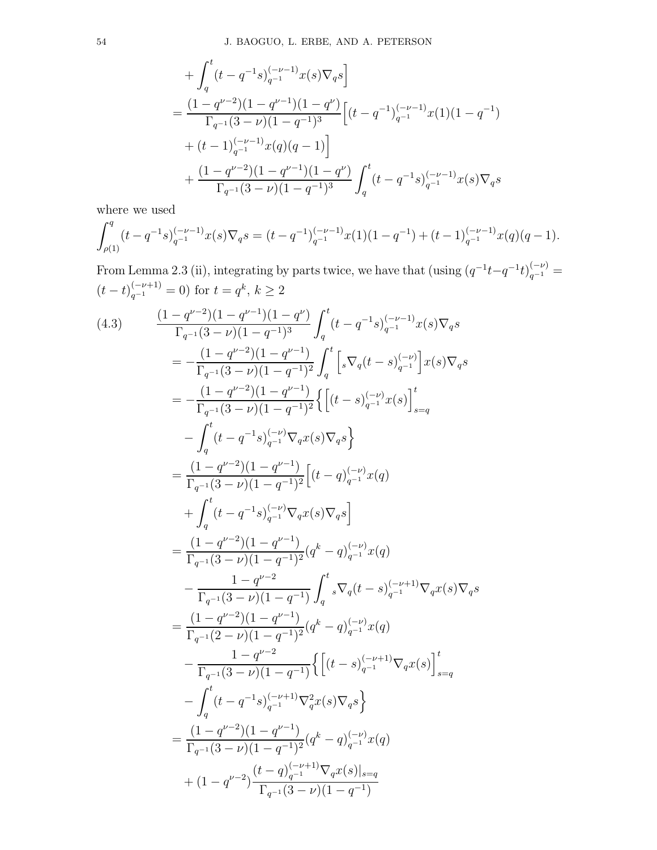$$
\begin{split} &+\int_q^t (t-q^{-1}s)_{q^{-1}}^{(-\nu-1)}x(s)\nabla_q s\bigg]\\ =&\,\frac{(1-q^{\nu-2})(1-q^{\nu-1})(1-q^{\nu})}{\Gamma_{q^{-1}}(3-\nu)(1-q^{-1})^3}\Big[(t-q^{-1})_{q^{-1}}^{(-\nu-1)}x(1)(1-q^{-1})\\ &+(t-1)_{q^{-1}}^{(-\nu-1)}x(q)(q-1)\Big]\\ &+\frac{(1-q^{\nu-2})(1-q^{\nu-1})(1-q^{\nu})}{\Gamma_{q^{-1}}(3-\nu)(1-q^{-1})^3}\int_q^t (t-q^{-1}s)_{q^{-1}}^{(-\nu-1)}x(s)\nabla_q s \end{split}
$$

where we used

$$
\int_{\rho(1)}^q (t - q^{-1}s)_{q^{-1}}^{(-\nu - 1)} x(s) \nabla_q s = (t - q^{-1})_{q^{-1}}^{(-\nu - 1)} x(1) (1 - q^{-1}) + (t - 1)_{q^{-1}}^{(-\nu - 1)} x(q) (q - 1).
$$

From Lemma 2.3 (ii), integrating by parts twice, we have that (using  $(q^{-1}t-q^{-1}t)_{q^{-1}}^{(-\nu)}=$  $(t-t)_{q^{-1}}^{(-\nu+1)} = 0$  for  $t = q^k, k \ge 2$ 

$$
(4.3) \frac{(1-q^{\nu-2})(1-q^{\nu-1})(1-q^{\nu})}{\Gamma_{q^{-1}}(3-\nu)(1-q^{-1})^3} \int_{q}^{t} (t-q^{-1}s)_{q^{-1}}^{(-\nu-1)} x(s) \nabla_{q}s
$$
\n
$$
= -\frac{(1-q^{\nu-2})(1-q^{\nu-1})}{\Gamma_{q^{-1}}(3-\nu)(1-q^{-1})^2} \int_{q}^{t} \left[ s \nabla_{q}(t-s)_{q^{-1}}^{(-\nu)} \right] x(s) \nabla_{q}s
$$
\n
$$
= -\frac{(1-q^{\nu-2})(1-q^{\nu-1})}{\Gamma_{q^{-1}}(3-\nu)(1-q^{-1})^2} \left\{ \left[ (t-s)_{q^{-1}}^{(-\nu)} x(s) \right]_{s=q}^{t}
$$
\n
$$
- \int_{q}^{t} (t-q^{-1}s)_{q^{-1}}^{(-\nu)} \nabla_{q} x(s) \nabla_{q}s \right\}
$$
\n
$$
= \frac{(1-q^{\nu-2})(1-q^{\nu-1})}{\Gamma_{q^{-1}}(3-\nu)(1-q^{-1})^2} \left[ (t-q)_{q^{-1}}^{(-\nu)} x(q) + \int_{q}^{t} (t-q^{-1}s)_{q^{-1}}^{(-\nu)} \nabla_{q} x(s) \nabla_{q}s \right]
$$
\n
$$
= \frac{(1-q^{\nu-2})(1-q^{\nu-1})}{\Gamma_{q^{-1}}(3-\nu)(1-q^{-1})^2} (q^{k}-q)_{q^{-1}}^{(-\nu)} x(q)
$$
\n
$$
- \frac{1-q^{\nu-2}}{\Gamma_{q^{-1}}(3-\nu)(1-q^{-1})} \int_{q}^{t} s \nabla_{q}(t-s)_{q^{-1}}^{(-\nu+1)} \nabla_{q} x(s) \nabla_{q}s
$$
\n
$$
= \frac{(1-q^{\nu-2})(1-q^{\nu-1})}{\Gamma_{q^{-1}}(2-\nu)(1-q^{-1})^2} (q^{k}-q)_{q^{-1}}^{(-\nu)} x(q)
$$
\n
$$
- \frac{1-q^{\nu-2}}{\Gamma_{q^{-1}}(3-\nu)(1-q^{-1})} \left\{ \left[ (t-s)_{q^{-1}}^{(-\nu+1)} \nabla_{q} x(s) \right]_{s=q}^{t}
$$
\n<math display="</math>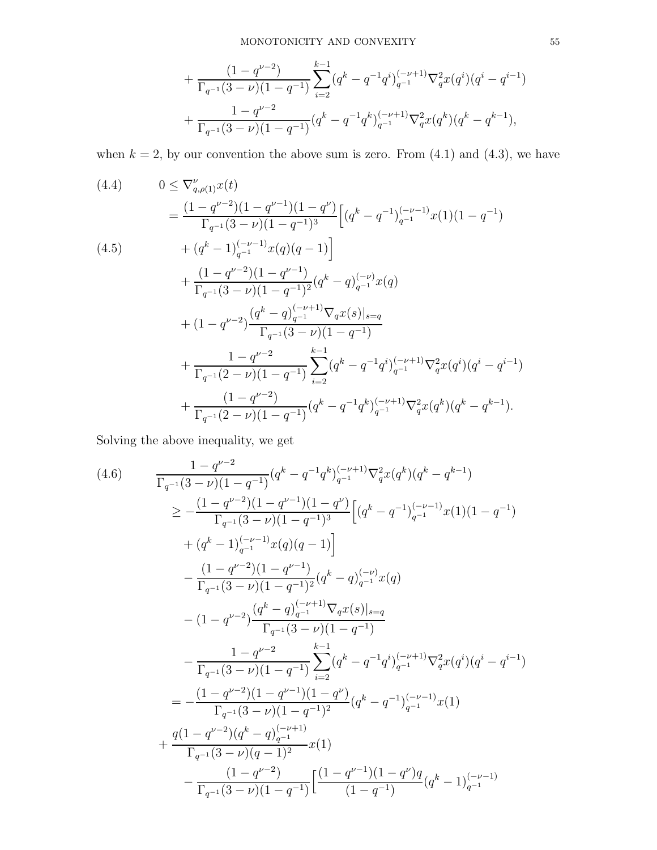+ 
$$
\frac{(1-q^{\nu-2})}{\Gamma_{q^{-1}}(3-\nu)(1-q^{-1})} \sum_{i=2}^{k-1} (q^k - q^{-1}q^i)_{q^{-1}}^{(-\nu+1)} \nabla_q^2 x(q^i) (q^i - q^{i-1})
$$
  
+  $\frac{1-q^{\nu-2}}{\Gamma_{q^{-1}}(3-\nu)(1-q^{-1})} (q^k - q^{-1}q^k)_{q^{-1}}^{(-\nu+1)} \nabla_q^2 x(q^k) (q^k - q^{k-1}),$ 

when  $k = 2$ , by our convention the above sum is zero. From  $(4.1)$  and  $(4.3)$ , we have

$$
(4.4) \qquad 0 \leq \nabla_{q,\rho(1)}^{\nu}x(t)
$$
\n
$$
= \frac{(1-q^{\nu-2})(1-q^{\nu-1})(1-q^{\nu})}{\Gamma_{q^{-1}}(3-\nu)(1-q^{-1})^3} \Big[ (q^{k} - q^{-1})_{q^{-1}}^{(-\nu-1)}x(1)(1-q^{-1})
$$
\n
$$
+ (q^{k} - 1)_{q^{-1}}^{(-\nu-1)}x(q)(q - 1) \Big]
$$
\n
$$
+ \frac{(1-q^{\nu-2})(1-q^{\nu-1})}{\Gamma_{q^{-1}}(3-\nu)(1-q^{-1})^2} (q^{k} - q)_{q^{-1}}^{(-\nu)}x(q)
$$
\n
$$
+ (1-q^{\nu-2})\frac{(q^{k} - q)_{q^{-1}}^{(-\nu+1)}\nabla_{q}x(s)|_{s=q}}{\Gamma_{q^{-1}}(3-\nu)(1-q^{-1})}
$$
\n
$$
+ \frac{1-q^{\nu-2}}{\Gamma_{q^{-1}}(2-\nu)(1-q^{-1})}\sum_{i=2}^{k-1} (q^{k} - q^{-1}q^{i})_{q^{-1}}^{(-\nu+1)}\nabla_{q}^{2}x(q^{i})(q^{i} - q^{i-1})
$$
\n
$$
+ \frac{(1-q^{\nu-2})}{\Gamma_{q^{-1}}(2-\nu)(1-q^{-1})}\Big[ (q^{k} - q^{-1}q^{k})_{q^{-1}}^{(-\nu+1)}\nabla_{q}^{2}x(q^{k})(q^{k} - q^{k-1}).
$$

Solving the above inequality, we get

$$
(4.6) \frac{1 - q^{\nu - 2}}{\Gamma_{q^{-1}}(3 - \nu)(1 - q^{-1})} (q^{k} - q^{-1}q^{k})_{q^{-1}}^{(-\nu + 1)} \nabla_{q}^{2}x(q^{k})(q^{k} - q^{k-1})
$$
\n
$$
\geq -\frac{(1 - q^{\nu - 2})(1 - q^{\nu - 1})(1 - q^{\nu})}{\Gamma_{q^{-1}}(3 - \nu)(1 - q^{-1})^{3}} \Big[ (q^{k} - q^{-1})_{q^{-1}}^{(-\nu - 1)} x(1)(1 - q^{-1})
$$
\n
$$
+ (q^{k} - 1)_{q^{-1}}^{(-\nu - 1)} x(q)(q - 1) \Big]
$$
\n
$$
- \frac{(1 - q^{\nu - 2})(1 - q^{\nu - 1})}{\Gamma_{q^{-1}}(3 - \nu)(1 - q^{-1})^{2}} (q^{k} - q)_{q^{-1}}^{(-\nu)} x(q)
$$
\n
$$
- (1 - q^{\nu - 2}) \frac{(q^{k} - q)_{q^{-1}}^{(-\nu + 1)} \nabla_{q}x(s)|_{s=q}}{\Gamma_{q^{-1}}(3 - \nu)(1 - q^{-1})}
$$
\n
$$
- \frac{1 - q^{\nu - 2}}{\Gamma_{q^{-1}}(3 - \nu)(1 - q^{-1})} \sum_{i=2}^{k-1} (q^{k} - q^{-1}q^{i})_{q^{-1}}^{(-\nu + 1)} \nabla_{q}^{2}x(q^{i})(q^{i} - q^{i-1})
$$
\n
$$
= -\frac{(1 - q^{\nu - 2})(1 - q^{\nu - 1})(1 - q^{\nu})}{\Gamma_{q^{-1}}(3 - \nu)(1 - q^{-1})^{2}} (q^{k} - q^{-1})_{q^{-1}}^{(-\nu - 1)} x(1)
$$
\n
$$
+ \frac{q(1 - q^{\nu - 2})(q^{k} - q)_{q^{-1}}^{(-\nu + 1)}}{\Gamma_{q^{-1}}(3 - \nu)(q - 1)^{2}} x(1)
$$
\n
$$
- \frac{(1 - q^{\nu - 2})(1 - q^{-1})}{\Gamma_{q^{-1}}(3 - \nu)(1 - q^{-1})} \Big[ \frac{(1 - q^{\nu - 1})(1 - q^{\nu})q}{(1 - q^{-1})} (q^{k} - 1)_{q^{-1}}^{
$$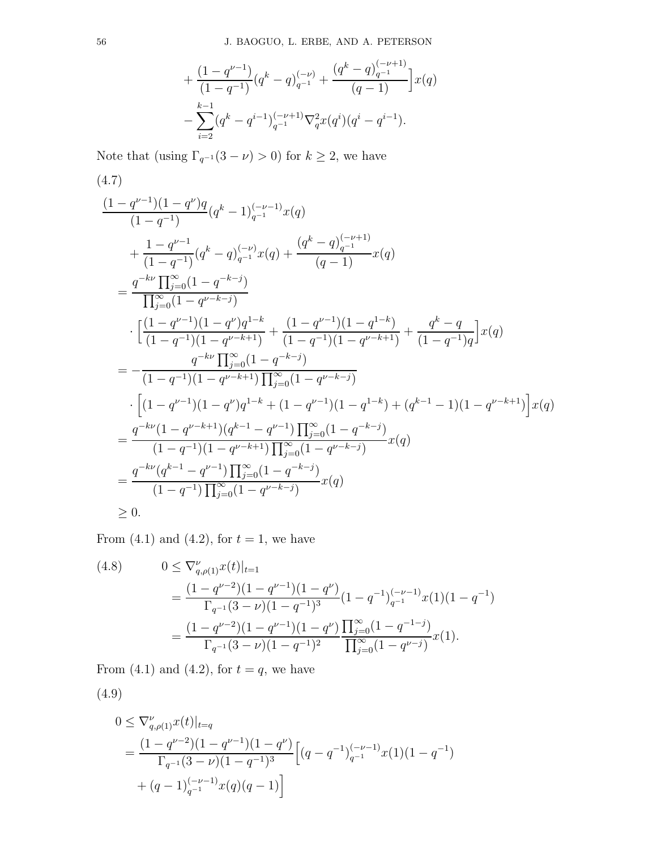$$
+\frac{(1-q^{\nu-1})}{(1-q^{-1})}(q^k-q)_{q^{-1}}^{(-\nu)}+\frac{(q^k-q)_{q^{-1}}^{(-\nu+1)}}{(q-1)}\Big]x(q)\\-\sum_{i=2}^{k-1}(q^k-q^{i-1})_{q^{-1}}^{(-\nu+1)}\nabla_q^2x(q^i)(q^i-q^{i-1}).
$$

Note that (using  $\Gamma_{q^{-1}}(3 - \nu) > 0$ ) for  $k \ge 2$ , we have

$$
(4.7)
$$
\n
$$
\frac{(1-q^{\nu-1})(1-q^{\nu})q}{(1-q^{-1})}(q^{k}-1)_{q^{-1}}^{(-\nu-1)}x(q)
$$
\n
$$
+\frac{1-q^{\nu-1}}{(1-q^{-1})}(q^{k}-q)_{q^{-1}}^{(-\nu)}x(q)+\frac{(q^{k}-q)_{q^{-1}}^{(-\nu+1)}}{(q-1)}x(q)
$$
\n
$$
=\frac{q^{-kv}\prod_{j=0}^{\infty}(1-q^{-k-j})}{\prod_{j=0}^{\infty}(1-q^{\nu-k-j})}
$$
\n
$$
\cdot\left[\frac{(1-q^{\nu-1})(1-q^{\nu})q^{1-k}}{(1-q^{-1})(1-q^{\nu-k+1})}+\frac{(1-q^{\nu-1})(1-q^{1-k})}{(1-q^{-1})(1-q^{\nu-k+1})}+\frac{q^{k}-q}{(1-q^{-1})q}\right]x(q)
$$
\n
$$
=-\frac{q^{-kv}\prod_{j=0}^{\infty}(1-q^{-k-j})}{(1-q^{-1})(1-q^{\nu-k+1})\prod_{j=0}^{\infty}(1-q^{\nu-k-j})}
$$
\n
$$
\cdot\left[(1-q^{\nu-1})(1-q^{\nu})q^{1-k}+(1-q^{\nu-1})(1-q^{1-k})+(q^{k-1}-1)(1-q^{\nu-k+1})\right]x(q)
$$
\n
$$
=\frac{q^{-kv}(1-q^{\nu-k+1})(q^{k-1}-q^{\nu-1})\prod_{j=0}^{\infty}(1-q^{-k-j})}{(1-q^{-1})(1-q^{\nu-k+1})\prod_{j=0}^{\infty}(1-q^{-k-j})}x(q)
$$
\n
$$
=\frac{q^{-kv}(q^{k-1}-q^{\nu-1})\prod_{j=0}^{\infty}(1-q^{-k-j})}{(1-q^{-1})\prod_{j=0}^{\infty}(1-q^{\nu-k+j})}x(q)
$$
\n
$$
\geq 0.
$$

From  $(4.1)$  and  $(4.2)$ , for  $t = 1$ , we have

(4.8) 
$$
0 \leq \nabla_{q,\rho(1)}^{\nu} x(t)|_{t=1}
$$
  
= 
$$
\frac{(1-q^{\nu-2})(1-q^{\nu-1})(1-q^{\nu})}{\Gamma_{q^{-1}}(3-\nu)(1-q^{-1})^3} (1-q^{-1})_{q^{-1}}^{(-\nu-1)} x(1)(1-q^{-1})
$$
  
= 
$$
\frac{(1-q^{\nu-2})(1-q^{\nu-1})(1-q^{\nu})}{\Gamma_{q^{-1}}(3-\nu)(1-q^{-1})^2} \frac{\prod_{j=0}^{\infty} (1-q^{-1-j})}{\prod_{j=0}^{\infty} (1-q^{\nu-j})} x(1).
$$

From  $(4.1)$  and  $(4.2)$ , for  $t = q$ , we have

(4.9)

$$
0 \le \nabla_{q,\rho(1)}^{\nu} x(t)|_{t=q}
$$
  
= 
$$
\frac{(1-q^{\nu-2})(1-q^{\nu-1})(1-q^{\nu})}{\Gamma_{q^{-1}}(3-\nu)(1-q^{-1})^3} \Big[ (q-q^{-1})_{q^{-1}}^{(-\nu-1)} x(1)(1-q^{-1})
$$
  
+ 
$$
(q-1)_{q^{-1}}^{(-\nu-1)} x(q)(q-1) \Big]
$$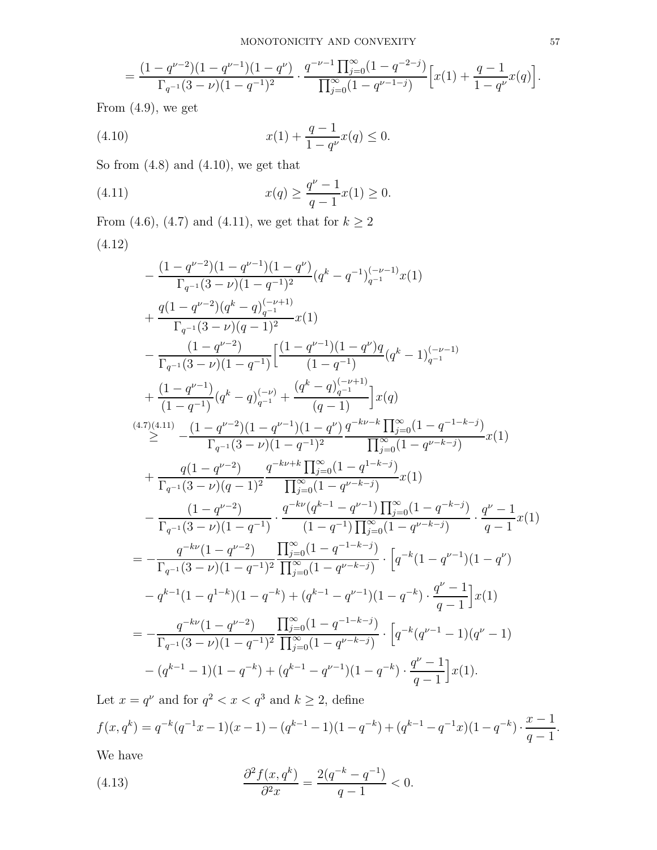$$
=\frac{(1-q^{\nu-2})(1-q^{\nu-1})(1-q^{\nu})}{\Gamma_{q^{-1}}(3-\nu)(1-q^{-1})^2}\cdot\frac{q^{-\nu-1}\prod_{j=0}^\infty(1-q^{-2-j})}{\prod_{j=0}^\infty(1-q^{\nu-1-j})}\Big[x(1)+\frac{q-1}{1-q^{\nu}}x(q)\Big].
$$

From  $(4.9)$ , we get

(4.10) 
$$
x(1) + \frac{q-1}{1-q^{\nu}}x(q) \le 0.
$$

So from (4.8) and (4.10), we get that

(4.11) 
$$
x(q) \ge \frac{q^{\nu} - 1}{q - 1} x(1) \ge 0.
$$

From (4.6), (4.7) and (4.11), we get that for  $k\geq 2$  $(4.19)$ 

$$
(4.12)
$$

$$
-\frac{(1-q^{\nu-2})(1-q^{\nu-1})(1-q^{\nu})}{\Gamma_{q^{-1}}(3-\nu)(1-q^{-1})^2}(q^k-q^{-1})_{q^{-1}}^{(-\nu-1)}x(1) +\frac{q(1-q^{\nu-2})(q^k-q)_{q^{-1}}^{(-\nu+1)}}{\Gamma_{q^{-1}}(3-\nu)(q-1)^2}x(1) -\frac{(1-q^{\nu-2})}{\Gamma_{q^{-1}}(3-\nu)(1-q^{-1})}\Big[\frac{(1-q^{\nu-1})(1-q^{\nu})q}{(1-q^{-1})}(q^k-1)_{q^{-1}}^{(-\nu-1)} +\frac{(1-q^{\nu-1})}{(1-q^{-1})}(q^k-q)_{q^{-1}}^{(-\nu)}+\frac{(q^k-q)_{q^{-1}}^{(-\nu+1)}}{(q-1)}\Big]x(q) (4.7)(4.11) \left.\begin{array}{c}\n-(1-q^{\nu-2})(1-q^{\nu-1})(1-q^{\nu})\frac{q^{-k\nu-k}\prod_{j=0}^{\infty}(1-q^{-1-k-j})}{\Gamma_{q^{-1}}(3-\nu)(1-q^{-1})^2}\frac{1}{\prod_{j=0}^{\infty}(1-q^{\nu-k-j})}x(1)\n\end{array}\right. +\frac{q(1-q^{\nu-2})\qquad q^{-k\nu+k}\prod_{j=0}^{\infty}(1-q^{1-k-j})}{\Gamma_{q^{-1}}(3-\nu)(q-1)^2}\frac{q^{-k\nu+k}\prod_{j=0}^{\infty}(1-q^{\nu-k-j})}{\prod_{j=0}^{\infty}(1-q^{\nu-k-j})}x(1) -\frac{(1-q^{\nu-2})\qquad q^{-k\nu}(q^{k-1}-q^{\nu-1})\prod_{j=0}^{\infty}(1-q^{-k-j})}{\Gamma_{q^{-1}}(3-\nu)(1-q^{-1})}\cdot\frac{q^{-k\nu}(q^{k-1}-q^{\nu-1})\prod_{j=0}^{\infty}(1-q^{\nu-k-j})}{(1-q^{-1})\prod_{j=0}^{\infty}(1-q^{\nu-k-j})}\cdot\frac{q^{\nu}-1}{q-1}x(1) =-\frac{q^{-k\nu}(1-q^{\nu-2})}{\Gamma_{q^{-1}}(3-\nu)(1-q^{-1})^2}\frac{\prod_{j=0}^{\infty}(1-q^{\nu-1})}{\prod_{j=0}^{\infty}(1-q
$$

Let  $x = q^{\nu}$  and for  $q^2 < x < q^3$  and  $k \ge 2$ , define

$$
f(x, q^k) = q^{-k}(q^{-1}x - 1)(x - 1) - (q^{k-1} - 1)(1 - q^{-k}) + (q^{k-1} - q^{-1}x)(1 - q^{-k}) \cdot \frac{x - 1}{q - 1}.
$$
  
We have

We have

(4.13) 
$$
\frac{\partial^2 f(x, q^k)}{\partial^2 x} = \frac{2(q^{-k} - q^{-1})}{q - 1} < 0.
$$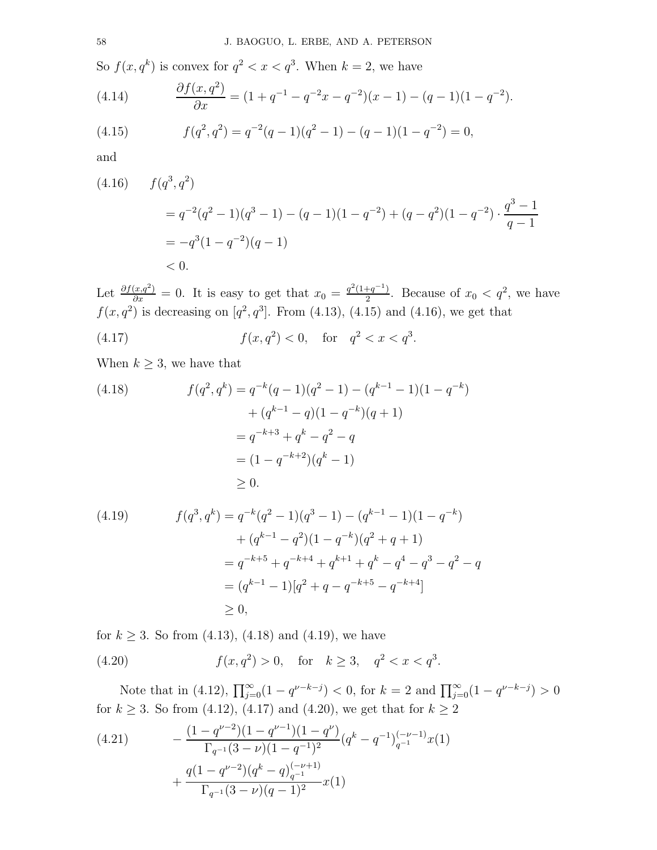So  $f(x, q^k)$  is convex for  $q^2 < x < q^3$ . When  $k = 2$ , we have

(4.14) 
$$
\frac{\partial f(x, q^2)}{\partial x} = (1 + q^{-1} - q^{-2}x - q^{-2})(x - 1) - (q - 1)(1 - q^{-2}).
$$

(4.15) 
$$
f(q^2, q^2) = q^{-2}(q-1)(q^2-1) - (q-1)(1-q^{-2}) = 0,
$$

and

(4.16) 
$$
f(q^3, q^2)
$$
  
=  $q^{-2}(q^2 - 1)(q^3 - 1) - (q - 1)(1 - q^{-2}) + (q - q^2)(1 - q^{-2}) \cdot \frac{q^3 - 1}{q - 1}$   
=  $-q^3(1 - q^{-2})(q - 1)$   
< 0.

Let  $\frac{\partial f(x,q^2)}{\partial x} = 0$ . It is easy to get that  $x_0 = \frac{q^2(1+q^{-1})}{2}$  $\frac{+q^{-1}}{2}$ . Because of  $x_0 < q^2$ , we have  $f(x, q^2)$  is decreasing on  $[q^2, q^3]$ . From (4.13), (4.15) and (4.16), we get that

(4.17) 
$$
f(x, q^2) < 0
$$
, for  $q^2 < x < q^3$ .

When  $k \geq 3$ , we have that

(4.18) 
$$
f(q^2, q^k) = q^{-k}(q-1)(q^2-1) - (q^{k-1}-1)(1-q^{-k})
$$

$$
+ (q^{k-1} - q)(1 - q^{-k})(q+1)
$$

$$
= q^{-k+3} + q^k - q^2 - q
$$

$$
= (1 - q^{-k+2})(q^k - 1)
$$

$$
\geq 0.
$$

$$
(4.19) \t f(q3, qk) = q-k(q2 - 1)(q3 - 1) - (qk-1 - 1)(1 - q-k) + (qk-1 - q2)(1 - q-k)(q2 + q + 1) = q-k+5 + q-k+4 + qk+1 + qk - q4 - q3 - q2 - q = (qk-1 - 1)[q2 + q - q-k+5 - q-k+4]\ge 0,
$$

for  $k \ge 3$ . So from (4.13), (4.18) and (4.19), we have

(4.20)  $f(x, q^2) > 0$ , for  $k \ge 3$ ,  $q^2 < x < q^3$ .

Note that in (4.12),  $\prod_{j=0}^{\infty} (1 - q^{\nu-k-j}) < 0$ , for  $k = 2$  and  $\prod_{j=0}^{\infty} (1 - q^{\nu-k-j}) > 0$ for  $k \ge 3$ . So from (4.12), (4.17) and (4.20), we get that for  $k \ge 2$ 

(4.21) 
$$
- \frac{(1 - q^{\nu - 2})(1 - q^{\nu - 1})(1 - q^{\nu})}{\Gamma_{q^{-1}}(3 - \nu)(1 - q^{-1})^2} (q^k - q^{-1})_{q^{-1}}^{(-\nu - 1)} x(1) + \frac{q(1 - q^{\nu - 2})(q^k - q)_{q^{-1}}^{(-\nu + 1)}}{\Gamma_{q^{-1}}(3 - \nu)(q - 1)^2} x(1)
$$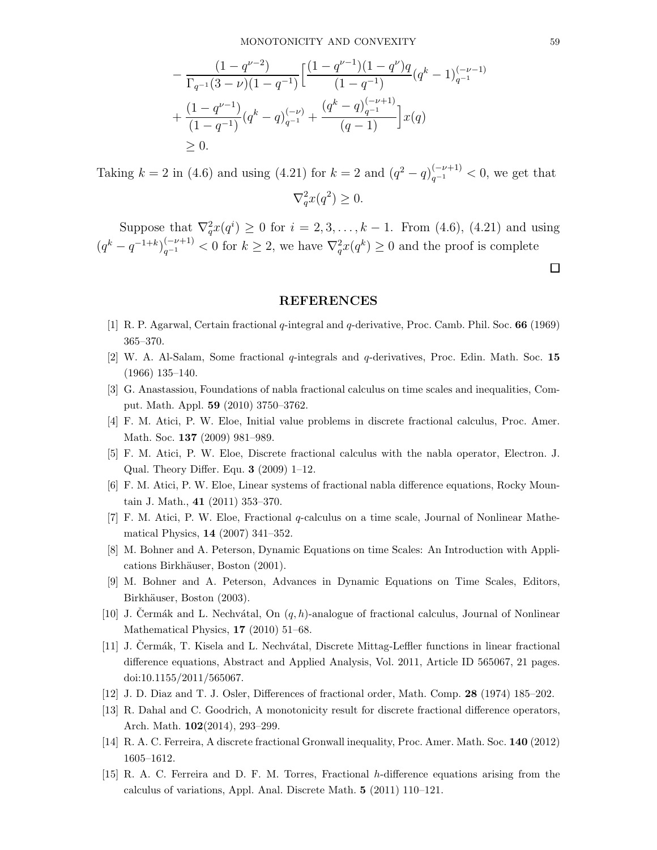$$
-\frac{(1-q^{\nu-2})}{\Gamma_{q^{-1}}(3-\nu)(1-q^{-1})}\left[\frac{(1-q^{\nu-1})(1-q^{\nu})q}{(1-q^{-1})}(q^{k}-1)_{q^{-1}}^{(-\nu-1)}\right] + \frac{(1-q^{\nu-1})}{(1-q^{-1})}(q^{k}-q)_{q^{-1}}^{(-\nu)} + \frac{(q^{k}-q)_{q^{-1}}^{(-\nu+1)}}{(q-1)}\right]x(q)
$$
  
\n
$$
\geq 0.
$$

Taking  $k = 2$  in (4.6) and using (4.21) for  $k = 2$  and  $(q^2 - q)_{q^{-1}}^{(-\nu+1)} < 0$ , we get that  $\nabla_q^2 x(q^2) \geq 0.$ 

Suppose that  $\nabla_q^2 x(q^i) \ge 0$  for  $i = 2, 3, ..., k - 1$ . From (4.6), (4.21) and using  $(q^k - q^{-1+k})_{q^{-1}}^{(-\nu+1)} < 0$  for  $k \geq 2$ , we have  $\nabla_q^2 x(q^k) \geq 0$  and the proof is complete

### REFERENCES

- [1] R. P. Agarwal, Certain fractional q-integral and q-derivative, Proc. Camb. Phil. Soc. 66 (1969) 365–370.
- [2] W. A. Al-Salam, Some fractional  $q$ -integrals and  $q$ -derivatives, Proc. Edin. Math. Soc. 15 (1966) 135–140.
- [3] G. Anastassiou, Foundations of nabla fractional calculus on time scales and inequalities, Comput. Math. Appl. 59 (2010) 3750–3762.
- [4] F. M. Atici, P. W. Eloe, Initial value problems in discrete fractional calculus, Proc. Amer. Math. Soc. 137 (2009) 981–989.
- [5] F. M. Atici, P. W. Eloe, Discrete fractional calculus with the nabla operator, Electron. J. Qual. Theory Differ. Equ. 3 (2009) 1–12.
- [6] F. M. Atici, P. W. Eloe, Linear systems of fractional nabla difference equations, Rocky Mountain J. Math., 41 (2011) 353–370.
- [7] F. M. Atici, P. W. Eloe, Fractional q-calculus on a time scale, Journal of Nonlinear Mathematical Physics, 14 (2007) 341–352.
- [8] M. Bohner and A. Peterson, Dynamic Equations on time Scales: An Introduction with Applications Birkhäuser, Boston (2001).
- [9] M. Bohner and A. Peterson, Advances in Dynamic Equations on Time Scales, Editors, Birkhäuser, Boston (2003).
- [10] J. Cermák and L. Nechvátal, On  $(q, h)$ -analogue of fractional calculus, Journal of Nonlinear Mathematical Physics, 17 (2010) 51–68.
- [11] J. Cermák, T. Kisela and L. Nechvátal, Discrete Mittag-Leffler functions in linear fractional difference equations, Abstract and Applied Analysis, Vol. 2011, Article ID 565067, 21 pages. doi:10.1155/2011/565067.
- [12] J. D. Diaz and T. J. Osler, Differences of fractional order, Math. Comp. 28 (1974) 185–202.
- [13] R. Dahal and C. Goodrich, A monotonicity result for discrete fractional difference operators, Arch. Math. 102(2014), 293–299.
- [14] R. A. C. Ferreira, A discrete fractional Gronwall inequality, Proc. Amer. Math. Soc. 140 (2012) 1605–1612.
- [15] R. A. C. Ferreira and D. F. M. Torres, Fractional h-difference equations arising from the calculus of variations, Appl. Anal. Discrete Math. 5 (2011) 110–121.

 $\Box$